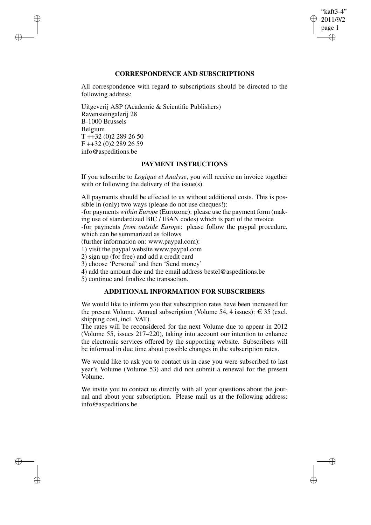## "kaft3-4" 2011/9/2 page 1 ✐ ✐

✐

✐

# **CORRESPONDENCE AND SUBSCRIPTIONS**

All correspondence with regard to subscriptions should be directed to the following address:

Uitgeverij ASP (Academic & Scientific Publishers) Ravensteingalerij 28 B-1000 Brussels Belgium T ++32 (0)2 289 26 50 F ++32 (0)2 289 26 59 info@aspeditions.be

✐

✐

✐

✐

## **PAYMENT INSTRUCTIONS**

If you subscribe to *Logique et Analyse*, you will receive an invoice together with or following the delivery of the issue(s).

All payments should be effected to us without additional costs. This is possible in (only) two ways (please do not use cheques!):

-for payments *within Europe* (Eurozone): please use the payment form (making use of standardized BIC / IBAN codes) which is part of the invoice

-for payments *from outside Europe*: please follow the paypal procedure, which can be summarized as follows

(further information on: www.paypal.com):

1) visit the paypal website www.paypal.com

2) sign up (for free) and add a credit card

3) choose 'Personal' and then 'Send money'

4) add the amount due and the email address bestel@aspeditions.be

5) continue and finalize the transaction.

# **ADDITIONAL INFORMATION FOR SUBSCRIBERS**

We would like to inform you that subscription rates have been increased for the present Volume. Annual subscription (Volume 54, 4 issues):  $\epsilon$  35 (excl. shipping cost, incl. VAT).

The rates will be reconsidered for the next Volume due to appear in 2012 (Volume 55, issues 217–220), taking into account our intention to enhance the electronic services offered by the supporting website. Subscribers will be informed in due time about possible changes in the subscription rates.

We would like to ask you to contact us in case you were subscribed to last year's Volume (Volume 53) and did not submit a renewal for the present Volume.

We invite you to contact us directly with all your questions about the journal and about your subscription. Please mail us at the following address: info@aspeditions.be.